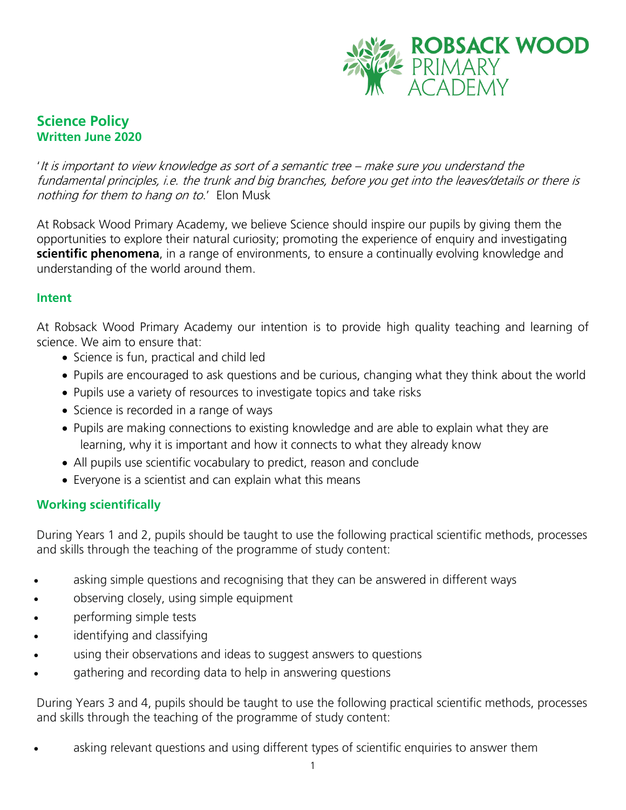

## **Science Policy Written June 2020**

'It is important to view knowledge as sort of a semantic tree – make sure you understand the fundamental principles, i.e. the trunk and big branches, before you get into the leaves/details or there is nothing for them to hang on to.' Elon Musk

At Robsack Wood Primary Academy, we believe Science should inspire our pupils by giving them the opportunities to explore their natural curiosity; promoting the experience of enquiry and investigating **scientific phenomena**, in a range of environments, to ensure a continually evolving knowledge and understanding of the world around them.

#### **Intent**

At Robsack Wood Primary Academy our intention is to provide high quality teaching and learning of science. We aim to ensure that:

- Science is fun, practical and child led
- Pupils are encouraged to ask questions and be curious, changing what they think about the world
- Pupils use a variety of resources to investigate topics and take risks
- Science is recorded in a range of ways
- Pupils are making connections to existing knowledge and are able to explain what they are learning, why it is important and how it connects to what they already know
- All pupils use scientific vocabulary to predict, reason and conclude
- Everyone is a scientist and can explain what this means

### **Working scientifically**

During Years 1 and 2, pupils should be taught to use the following practical scientific methods, processes and skills through the teaching of the programme of study content:

- asking simple questions and recognising that they can be answered in different ways
- observing closely, using simple equipment
- performing simple tests
- identifying and classifying
- using their observations and ideas to suggest answers to questions
- gathering and recording data to help in answering questions

During Years 3 and 4, pupils should be taught to use the following practical scientific methods, processes and skills through the teaching of the programme of study content:

asking relevant questions and using different types of scientific enquiries to answer them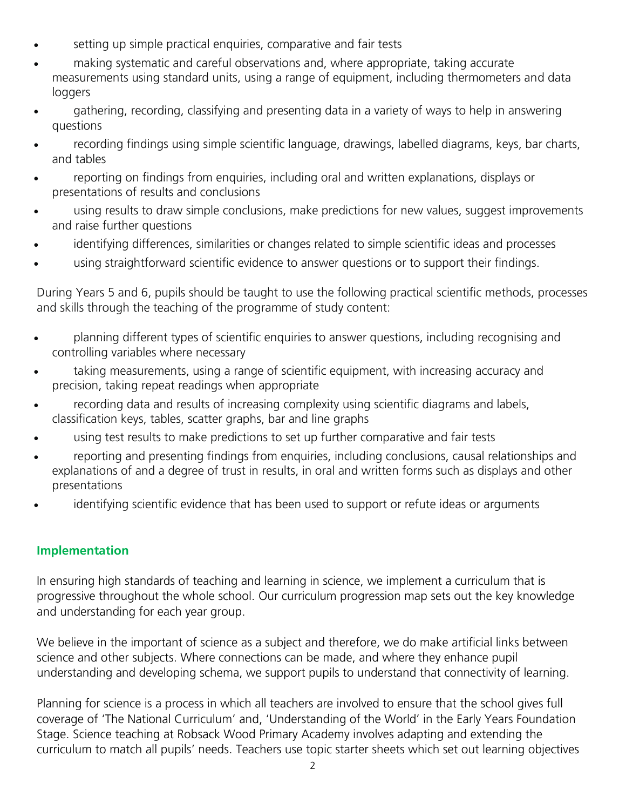- setting up simple practical enquiries, comparative and fair tests
- making systematic and careful observations and, where appropriate, taking accurate measurements using standard units, using a range of equipment, including thermometers and data loggers
- gathering, recording, classifying and presenting data in a variety of ways to help in answering questions
- recording findings using simple scientific language, drawings, labelled diagrams, keys, bar charts, and tables
- reporting on findings from enquiries, including oral and written explanations, displays or presentations of results and conclusions
- using results to draw simple conclusions, make predictions for new values, suggest improvements and raise further questions
- identifying differences, similarities or changes related to simple scientific ideas and processes
- using straightforward scientific evidence to answer questions or to support their findings.

During Years 5 and 6, pupils should be taught to use the following practical scientific methods, processes and skills through the teaching of the programme of study content:

- planning different types of scientific enquiries to answer questions, including recognising and controlling variables where necessary
- taking measurements, using a range of scientific equipment, with increasing accuracy and precision, taking repeat readings when appropriate
- recording data and results of increasing complexity using scientific diagrams and labels, classification keys, tables, scatter graphs, bar and line graphs
- using test results to make predictions to set up further comparative and fair tests
- reporting and presenting findings from enquiries, including conclusions, causal relationships and explanations of and a degree of trust in results, in oral and written forms such as displays and other presentations
- identifying scientific evidence that has been used to support or refute ideas or arguments

### **Implementation**

In ensuring high standards of teaching and learning in science, we implement a curriculum that is progressive throughout the whole school. Our curriculum progression map sets out the key knowledge and understanding for each year group.

We believe in the important of science as a subject and therefore, we do make artificial links between science and other subjects. Where connections can be made, and where they enhance pupil understanding and developing schema, we support pupils to understand that connectivity of learning.

Planning for science is a process in which all teachers are involved to ensure that the school gives full coverage of 'The National Curriculum' and, 'Understanding of the World' in the Early Years Foundation Stage. Science teaching at Robsack Wood Primary Academy involves adapting and extending the curriculum to match all pupils' needs. Teachers use topic starter sheets which set out learning objectives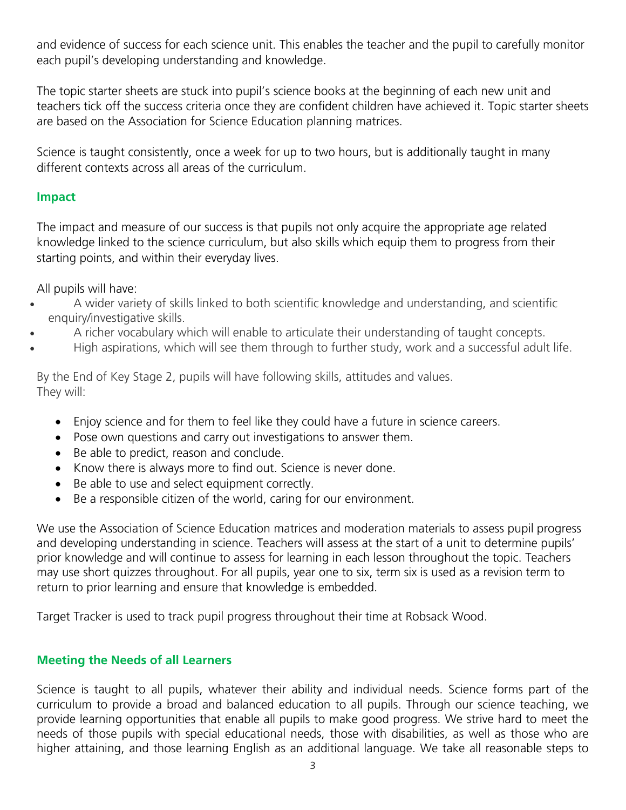and evidence of success for each science unit. This enables the teacher and the pupil to carefully monitor each pupil's developing understanding and knowledge.

The topic starter sheets are stuck into pupil's science books at the beginning of each new unit and teachers tick off the success criteria once they are confident children have achieved it. Topic starter sheets are based on the Association for Science Education planning matrices.

Science is taught consistently, once a week for up to two hours, but is additionally taught in many different contexts across all areas of the curriculum.

## **Impact**

The impact and measure of our success is that pupils not only acquire the appropriate age related knowledge linked to the science curriculum, but also skills which equip them to progress from their starting points, and within their everyday lives.

All pupils will have:

- A wider variety of skills linked to both scientific knowledge and understanding, and scientific enquiry/investigative skills.
- A richer vocabulary which will enable to articulate their understanding of taught concepts.
- High aspirations, which will see them through to further study, work and a successful adult life.

By the End of Key Stage 2, pupils will have following skills, attitudes and values. They will:

- Enjoy science and for them to feel like they could have a future in science careers.
- Pose own questions and carry out investigations to answer them.
- Be able to predict, reason and conclude.
- Know there is always more to find out. Science is never done.
- Be able to use and select equipment correctly.
- Be a responsible citizen of the world, caring for our environment.

We use the Association of Science Education matrices and moderation materials to assess pupil progress and developing understanding in science. Teachers will assess at the start of a unit to determine pupils' prior knowledge and will continue to assess for learning in each lesson throughout the topic. Teachers may use short quizzes throughout. For all pupils, year one to six, term six is used as a revision term to return to prior learning and ensure that knowledge is embedded.

Target Tracker is used to track pupil progress throughout their time at Robsack Wood.

## **Meeting the Needs of all Learners**

Science is taught to all pupils, whatever their ability and individual needs. Science forms part of the curriculum to provide a broad and balanced education to all pupils. Through our science teaching, we provide learning opportunities that enable all pupils to make good progress. We strive hard to meet the needs of those pupils with special educational needs, those with disabilities, as well as those who are higher attaining, and those learning English as an additional language. We take all reasonable steps to